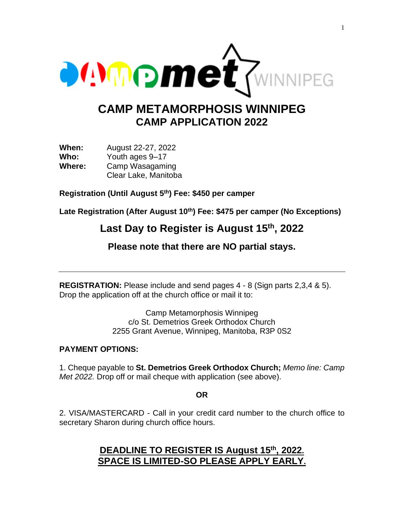

# **CAMP METAMORPHOSIS WINNIPEG CAMP APPLICATION 2022**

**When:** August 22-27, 2022 **Who:** Youth ages 9–17 **Where:** Camp Wasagaming Clear Lake, Manitoba

**Registration (Until August 5 th) Fee: \$450 per camper**

**Late Registration (After August 10 th) Fee: \$475 per camper (No Exceptions)**

## Last Day to Register is August 15<sup>th</sup>, 2022

**Please note that there are NO partial stays.**

**REGISTRATION:** Please include and send pages 4 - 8 (Sign parts 2,3,4 & 5). Drop the application off at the church office or mail it to:

> Camp Metamorphosis Winnipeg c/o St. Demetrios Greek Orthodox Church 2255 Grant Avenue, Winnipeg, Manitoba, R3P 0S2

#### **PAYMENT OPTIONS:**

1. Cheque payable to **St. Demetrios Greek Orthodox Church;** *Memo line: Camp Met 2022.* Drop off or mail cheque with application (see above).

**OR**

2. VISA/MASTERCARD - Call in your credit card number to the church office to secretary Sharon during church office hours.

### **DEADLINE TO REGISTER IS August 15 th, 2022. SPACE IS LIMITED-SO PLEASE APPLY EARLY.**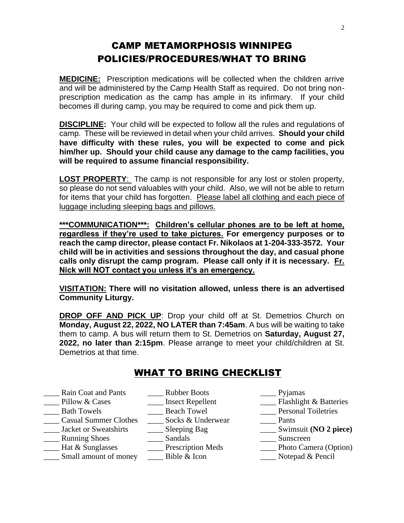## CAMP METAMORPHOSIS WINNIPEG POLICIES/PROCEDURES/WHAT TO BRING

**MEDICINE:** Prescription medications will be collected when the children arrive and will be administered by the Camp Health Staff as required. Do not bring nonprescription medication as the camp has ample in its infirmary. If your child becomes ill during camp, you may be required to come and pick them up.

**DISCIPLINE:** Your child will be expected to follow all the rules and regulations of camp. These will be reviewed in detail when your child arrives. **Should your child have difficulty with these rules, you will be expected to come and pick him/her up. Should your child cause any damage to the camp facilities, you will be required to assume financial responsibility.**

**LOST PROPERTY**: The camp is not responsible for any lost or stolen property, so please do not send valuables with your child. Also, we will not be able to return for items that your child has forgotten. Please label all clothing and each piece of luggage including sleeping bags and pillows.

**\*\*\*COMMUNICATION\*\*\*: Children's cellular phones are to be left at home, regardless if they're used to take pictures. For emergency purposes or to reach the camp director, please contact Fr. Nikolaos at 1-204-333-3572. Your child will be in activities and sessions throughout the day, and casual phone calls only disrupt the camp program. Please call only if it is necessary. Fr. Nick will NOT contact you unless it's an emergency.** 

**VISITATION: There will no visitation allowed, unless there is an advertised Community Liturgy.** 

**DROP OFF AND PICK UP:** Drop your child off at St. Demetrios Church on **Monday, August 22, 2022, NO LATER than 7:45am**. A bus will be waiting to take them to camp. A bus will return them to St. Demetrios on **Saturday, August 27, 2022, no later than 2:15pm**. Please arrange to meet your child/children at St. Demetrios at that time.

## WHAT TO BRING CHECKLIST

- Rain Coat and Pants **Rubber Boots** Pyjamas
	-
	-
- The Pillow & Cases The Elect Repellent The Elect Repellent The Elect Repellent Contains a Personal Toiletries<br>
<u>Alteries</u> Bath Towels Towel The Personal Toiletries
- \_\_\_\_ Casual Summer Clothes
- 
- Lackson and Shoes and Sandals and Sunscreen
- \_\_\_\_ Hat & Sunglasses \_\_\_\_ Prescription Meds \_\_\_\_ Photo Camera (Option)
- \_\_\_\_ Small amount of money \_\_\_\_ Bible & Icon \_\_\_\_ Notepad & Pencil

- Lacken Towel<br>
Socks & Underwear<br>
Pants<br>
Pants
	-
- \_\_\_\_ Jacket or Sweatshirts \_\_\_\_ Sleeping Bag \_\_\_\_ Swimsuit **(NO 2 piece)**
	-
	-
	-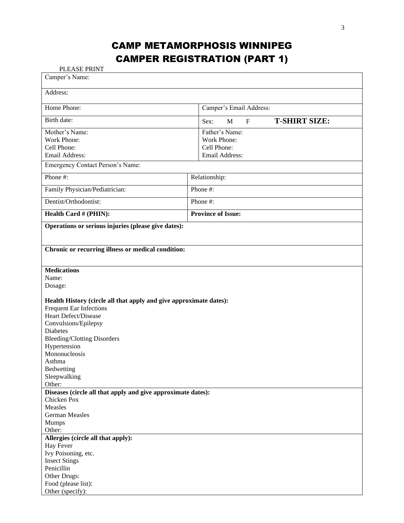# CAMP METAMORPHOSIS WINNIPEG CAMPER REGISTRATION (PART 1)

PLEASE PRINT

| Camper's Name:                                                                                       |                                                |                    |  |
|------------------------------------------------------------------------------------------------------|------------------------------------------------|--------------------|--|
| Address:                                                                                             |                                                |                    |  |
| Home Phone:                                                                                          | Camper's Email Address:                        |                    |  |
| Birth date:                                                                                          | <b>T-SHIRT SIZE:</b><br>$F_{\rm}$<br>M<br>Sex: |                    |  |
| Mother's Name:                                                                                       | Father's Name:                                 |                    |  |
| Work Phone:                                                                                          | Work Phone:                                    |                    |  |
| Cell Phone:                                                                                          | Cell Phone:                                    |                    |  |
| Email Address:                                                                                       | Email Address:                                 |                    |  |
| Emergency Contact Person's Name:                                                                     |                                                |                    |  |
| Phone #:                                                                                             | Relationship:                                  |                    |  |
| Family Physician/Pediatrician:                                                                       | Phone #:                                       |                    |  |
| Dentist/Orthodontist:                                                                                | Phone #:                                       |                    |  |
| Health Card # (PHIN):                                                                                | <b>Province of Issue:</b>                      |                    |  |
| Operations or serious injuries (please give dates):                                                  |                                                |                    |  |
| Chronic or recurring illness or medical condition:                                                   |                                                |                    |  |
|                                                                                                      |                                                | <b>Medications</b> |  |
|                                                                                                      |                                                | Name:<br>Dosage:   |  |
|                                                                                                      |                                                |                    |  |
| Health History (circle all that apply and give approximate dates):<br><b>Frequent Ear Infections</b> |                                                |                    |  |
| Heart Defect/Disease                                                                                 |                                                |                    |  |
| Convulsions/Epilepsy                                                                                 |                                                |                    |  |
| <b>Diabetes</b>                                                                                      |                                                |                    |  |
| <b>Bleeding/Clotting Disorders</b>                                                                   |                                                |                    |  |
| Hypertension                                                                                         |                                                |                    |  |
| Mononucleosis                                                                                        |                                                |                    |  |
| Asthma                                                                                               |                                                |                    |  |
| Bedwetting                                                                                           |                                                |                    |  |
| Sleepwalking                                                                                         |                                                |                    |  |
| Other:                                                                                               |                                                |                    |  |
| Diseases (circle all that apply and give approximate dates):                                         |                                                |                    |  |
| Chicken Pox                                                                                          |                                                |                    |  |
| Measles                                                                                              |                                                |                    |  |
| <b>German Measles</b>                                                                                |                                                |                    |  |
| <b>Mumps</b>                                                                                         |                                                |                    |  |
| Other:                                                                                               |                                                |                    |  |
| Allergies (circle all that apply):                                                                   |                                                |                    |  |
| Hay Fever                                                                                            |                                                |                    |  |
| Ivy Poisoning, etc.                                                                                  |                                                |                    |  |
| <b>Insect Stings</b>                                                                                 |                                                |                    |  |
| Penicillin                                                                                           |                                                |                    |  |
| Other Drugs:                                                                                         |                                                |                    |  |
| Food (please list):                                                                                  |                                                |                    |  |
| Other (specify):                                                                                     |                                                |                    |  |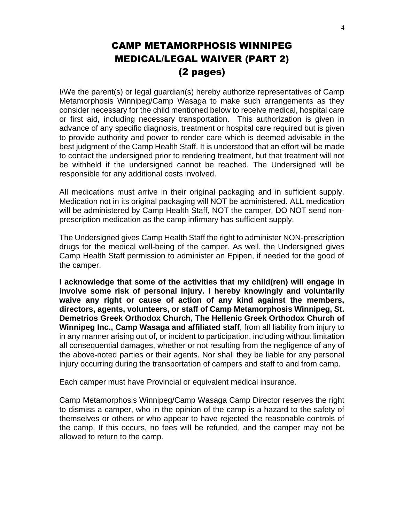## CAMP METAMORPHOSIS WINNIPEG MEDICAL/LEGAL WAIVER (PART 2) (2 pages)

I/We the parent(s) or legal guardian(s) hereby authorize representatives of Camp Metamorphosis Winnipeg/Camp Wasaga to make such arrangements as they consider necessary for the child mentioned below to receive medical, hospital care or first aid, including necessary transportation. This authorization is given in advance of any specific diagnosis, treatment or hospital care required but is given to provide authority and power to render care which is deemed advisable in the best judgment of the Camp Health Staff. It is understood that an effort will be made to contact the undersigned prior to rendering treatment, but that treatment will not be withheld if the undersigned cannot be reached. The Undersigned will be responsible for any additional costs involved.

All medications must arrive in their original packaging and in sufficient supply. Medication not in its original packaging will NOT be administered. ALL medication will be administered by Camp Health Staff, NOT the camper. DO NOT send nonprescription medication as the camp infirmary has sufficient supply.

The Undersigned gives Camp Health Staff the right to administer NON-prescription drugs for the medical well-being of the camper. As well, the Undersigned gives Camp Health Staff permission to administer an Epipen, if needed for the good of the camper.

**I acknowledge that some of the activities that my child(ren) will engage in involve some risk of personal injury. I hereby knowingly and voluntarily waive any right or cause of action of any kind against the members, directors, agents, volunteers, or staff of Camp Metamorphosis Winnipeg, St. Demetrios Greek Orthodox Church, The Hellenic Greek Orthodox Church of Winnipeg Inc., Camp Wasaga and affiliated staff**, from all liability from injury to in any manner arising out of, or incident to participation, including without limitation all consequential damages, whether or not resulting from the negligence of any of the above-noted parties or their agents. Nor shall they be liable for any personal injury occurring during the transportation of campers and staff to and from camp.

Each camper must have Provincial or equivalent medical insurance.

Camp Metamorphosis Winnipeg/Camp Wasaga Camp Director reserves the right to dismiss a camper, who in the opinion of the camp is a hazard to the safety of themselves or others or who appear to have rejected the reasonable controls of the camp. If this occurs, no fees will be refunded, and the camper may not be allowed to return to the camp.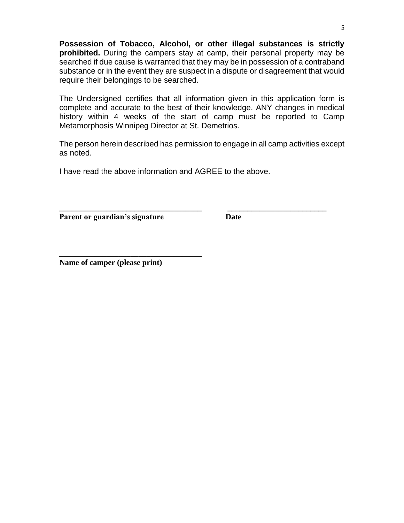**Possession of Tobacco, Alcohol, or other illegal substances is strictly prohibited.** During the campers stay at camp, their personal property may be searched if due cause is warranted that they may be in possession of a contraband substance or in the event they are suspect in a dispute or disagreement that would require their belongings to be searched.

The Undersigned certifies that all information given in this application form is complete and accurate to the best of their knowledge. ANY changes in medical history within 4 weeks of the start of camp must be reported to Camp Metamorphosis Winnipeg Director at St. Demetrios.

The person herein described has permission to engage in all camp activities except as noted.

**\_\_\_\_\_\_\_\_\_\_\_\_\_\_\_\_\_\_\_\_\_\_\_\_\_\_\_\_\_\_\_\_\_\_\_\_ \_\_\_\_\_\_\_\_\_\_\_\_\_\_\_\_\_\_\_\_\_\_\_\_\_**

I have read the above information and AGREE to the above.

**Parent or guardian's signature Date** 

**Name of camper (please print)**

**\_\_\_\_\_\_\_\_\_\_\_\_\_\_\_\_\_\_\_\_\_\_\_\_\_\_\_\_\_\_\_\_\_\_\_\_**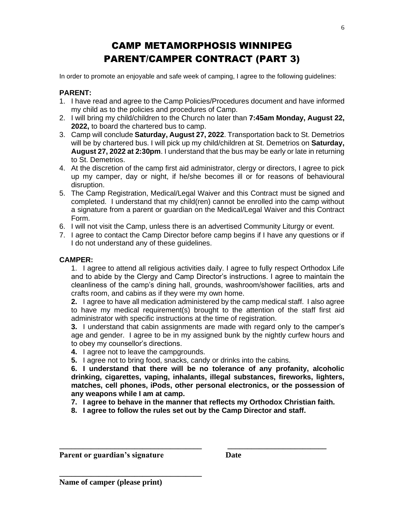# CAMP METAMORPHOSIS WINNIPEG PARENT/CAMPER CONTRACT (PART 3)

In order to promote an enjoyable and safe week of camping, I agree to the following guidelines:

#### **PARENT:**

- 1. I have read and agree to the Camp Policies/Procedures document and have informed my child as to the policies and procedures of Camp.
- 2. I will bring my child/children to the Church no later than **7:45am Monday, August 22, 2022,** to board the chartered bus to camp.
- 3. Camp will conclude **Saturday, August 27, 2022**. Transportation back to St. Demetrios will be by chartered bus. I will pick up my child/children at St. Demetrios on **Saturday, August 27, 2022 at 2:30pm**. I understand that the bus may be early or late in returning to St. Demetrios.
- 4. At the discretion of the camp first aid administrator, clergy or directors, I agree to pick up my camper, day or night, if he/she becomes ill or for reasons of behavioural disruption.
- 5. The Camp Registration, Medical/Legal Waiver and this Contract must be signed and completed. I understand that my child(ren) cannot be enrolled into the camp without a signature from a parent or guardian on the Medical/Legal Waiver and this Contract Form.
- 6. I will not visit the Camp, unless there is an advertised Community Liturgy or event.
- 7. I agree to contact the Camp Director before camp begins if I have any questions or if I do not understand any of these guidelines.

#### **CAMPER:**

1. I agree to attend all religious activities daily. I agree to fully respect Orthodox Life and to abide by the Clergy and Camp Director's instructions. I agree to maintain the cleanliness of the camp's dining hall, grounds, washroom/shower facilities, arts and crafts room, and cabins as if they were my own home.

**2.** I agree to have all medication administered by the camp medical staff. I also agree to have my medical requirement(s) brought to the attention of the staff first aid administrator with specific instructions at the time of registration.

**3.** I understand that cabin assignments are made with regard only to the camper's age and gender. I agree to be in my assigned bunk by the nightly curfew hours and to obey my counsellor's directions.

- **4.** I agree not to leave the campgrounds.
- **5.** I agree not to bring food, snacks, candy or drinks into the cabins.

**6. I understand that there will be no tolerance of any profanity, alcoholic drinking, cigarettes, vaping, inhalants, illegal substances, fireworks, lighters, matches, cell phones, iPods, other personal electronics, or the possession of any weapons while I am at camp.**

- **7. I agree to behave in the manner that reflects my Orthodox Christian faith.**
- **8. I agree to follow the rules set out by the Camp Director and staff.**

**\_\_\_\_\_\_\_\_\_\_\_\_\_\_\_\_\_\_\_\_\_\_\_\_\_\_\_\_\_\_\_\_\_\_\_\_ \_\_\_\_\_\_\_\_\_\_\_\_\_\_\_\_\_\_\_\_\_\_\_\_\_**

**Parent or guardian's signature Date** 

**\_\_\_\_\_\_\_\_\_\_\_\_\_\_\_\_\_\_\_\_\_\_\_\_\_\_\_\_\_\_\_\_\_\_\_\_**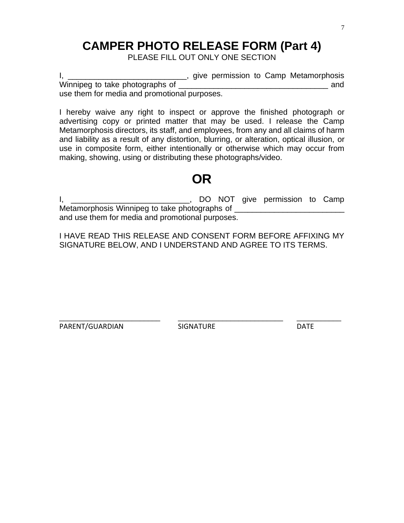# **CAMPER PHOTO RELEASE FORM (Part 4)**

PLEASE FILL OUT ONLY ONE SECTION

I, \_\_\_\_\_\_\_\_\_\_\_\_\_\_\_\_\_\_\_\_\_\_\_\_\_\_\_\_\_\_\_, give permission to Camp Metamorphosis Winnipeg to take photographs of \_\_\_\_\_\_\_\_\_\_\_\_\_\_\_\_\_\_\_\_\_\_\_\_\_\_\_\_\_\_\_\_\_\_ and use them for media and promotional purposes.

I hereby waive any right to inspect or approve the finished photograph or advertising copy or printed matter that may be used. I release the Camp Metamorphosis directors, its staff, and employees, from any and all claims of harm and liability as a result of any distortion, blurring, or alteration, optical illusion, or use in composite form, either intentionally or otherwise which may occur from making, showing, using or distributing these photographs/video.

# **OR**

I, \_\_\_\_\_\_\_\_\_\_\_\_\_\_\_\_\_\_\_\_\_\_\_\_\_\_\_\_\_\_, DO NOT give permission to Camp Metamorphosis Winnipeg to take photographs of \_\_\_\_\_\_\_\_\_\_\_\_\_\_\_\_\_\_\_\_\_\_\_\_\_\_\_\_\_\_\_\_\_\_ and use them for media and promotional purposes.

I HAVE READ THIS RELEASE AND CONSENT FORM BEFORE AFFIXING MY SIGNATURE BELOW, AND I UNDERSTAND AND AGREE TO ITS TERMS.

PARENT/GUARDIAN SIGNATURE DATE

\_\_\_\_\_\_\_\_\_\_\_\_\_\_\_\_\_\_\_\_\_\_\_\_\_ \_\_\_\_\_\_\_\_\_\_\_\_\_\_\_\_\_\_\_\_\_\_\_\_\_\_ \_\_\_\_\_\_\_\_\_\_\_